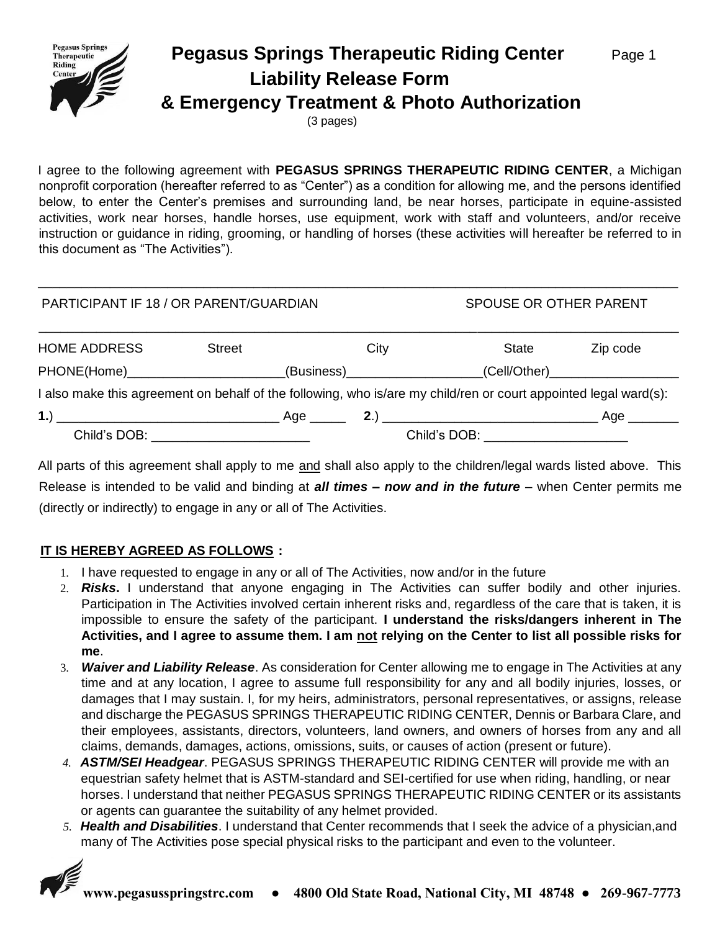

# **Pegasus Springs Therapeutic Riding Center** Page 1  **Liability Release Form & Emergency Treatment & Photo Authorization**

(3 pages)

I agree to the following agreement with **PEGASUS SPRINGS THERAPEUTIC RIDING CENTER**, a Michigan nonprofit corporation (hereafter referred to as "Center") as a condition for allowing me, and the persons identified below, to enter the Center's premises and surrounding land, be near horses, participate in equine-assisted activities, work near horses, handle horses, use equipment, work with staff and volunteers, and/or receive instruction or guidance in riding, grooming, or handling of horses (these activities will hereafter be referred to in this document as "The Activities").

\_\_\_\_\_\_\_\_\_\_\_\_\_\_\_\_\_\_\_\_\_\_\_\_\_\_\_\_\_\_\_\_\_\_\_\_\_\_\_\_\_\_\_\_\_\_\_\_\_\_\_\_\_\_\_\_\_\_\_\_\_\_\_\_\_\_\_\_\_\_\_\_\_\_\_\_\_\_\_\_\_\_\_\_\_\_\_\_\_

| PARTICIPANT IF 18 / OR PARENT/GUARDIAN                                                                           | SPOUSE OR OTHER PARENT |                                                                                                           |      |                                   |  |                                    |
|------------------------------------------------------------------------------------------------------------------|------------------------|-----------------------------------------------------------------------------------------------------------|------|-----------------------------------|--|------------------------------------|
| <b>HOME ADDRESS</b>                                                                                              | <b>Street</b>          |                                                                                                           | City | State                             |  | Zip code                           |
| PHONE(Home)_________________________                                                                             |                        | (Business) 2008 - 2009 - 2010 - 2010 - 2010 - 2010 - 2011 - 2011 - 2011 - 2011 - 2011 - 2011 - 2011 - 201 |      |                                   |  | _(Cell/Other)_____________________ |
| I also make this agreement on behalf of the following, who is/are my child/ren or court appointed legal ward(s): |                        |                                                                                                           |      |                                   |  |                                    |
|                                                                                                                  |                        |                                                                                                           |      |                                   |  |                                    |
| Child's DOB: ______________________                                                                              |                        |                                                                                                           |      | Child's DOB: ____________________ |  |                                    |

All parts of this agreement shall apply to me and shall also apply to the children/legal wards listed above. This Release is intended to be valid and binding at *all times – now and in the future* – when Center permits me (directly or indirectly) to engage in any or all of The Activities.

#### **IT IS HEREBY AGREED AS FOLLOWS :**

- 1. I have requested to engage in any or all of The Activities, now and/or in the future
- 2. *Risks***.** I understand that anyone engaging in The Activities can suffer bodily and other injuries. Participation in The Activities involved certain inherent risks and, regardless of the care that is taken, it is impossible to ensure the safety of the participant. **I understand the risks/dangers inherent in The Activities, and I agree to assume them. I am not relying on the Center to list all possible risks for me**.
- 3. *Waiver and Liability Release*. As consideration for Center allowing me to engage in The Activities at any time and at any location, I agree to assume full responsibility for any and all bodily injuries, losses, or damages that I may sustain. I, for my heirs, administrators, personal representatives, or assigns, release and discharge the PEGASUS SPRINGS THERAPEUTIC RIDING CENTER, Dennis or Barbara Clare, and their employees, assistants, directors, volunteers, land owners, and owners of horses from any and all claims, demands, damages, actions, omissions, suits, or causes of action (present or future).
- *4. ASTM/SEI Headgear*. PEGASUS SPRINGS THERAPEUTIC RIDING CENTER will provide me with an equestrian safety helmet that is ASTM-standard and SEI-certified for use when riding, handling, or near horses. I understand that neither PEGASUS SPRINGS THERAPEUTIC RIDING CENTER or its assistants or agents can guarantee the suitability of any helmet provided.
- *5. Health and Disabilities*. I understand that Center recommends that I seek the advice of a physician,and many of The Activities pose special physical risks to the participant and even to the volunteer.

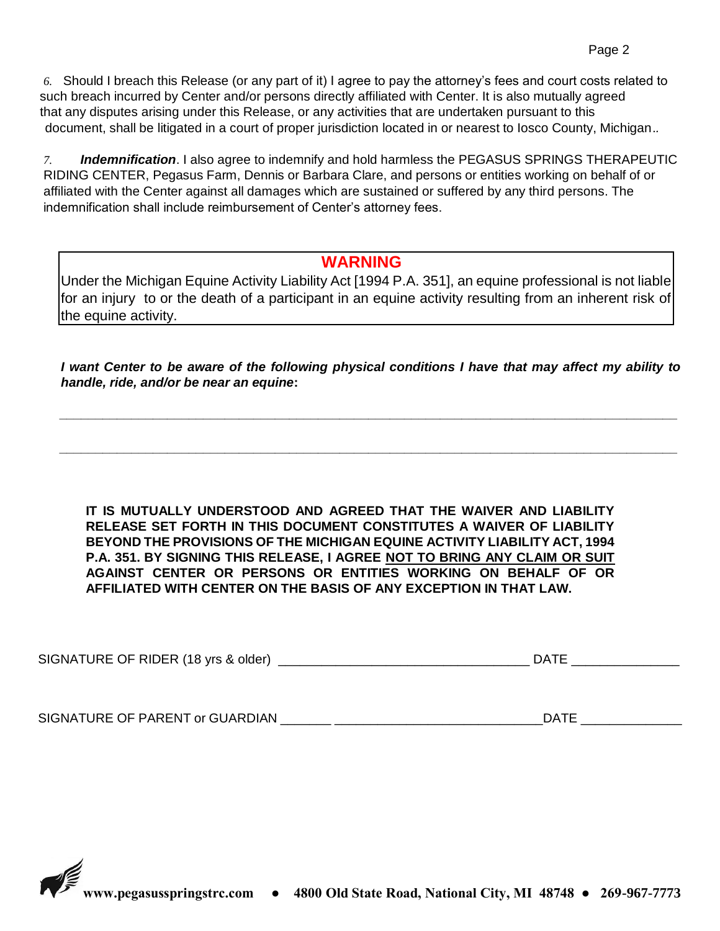*6.* Should I breach this Release (or any part of it) I agree to pay the attorney's fees and court costs related to such breach incurred by Center and/or persons directly affiliated with Center. It is also mutually agreed that any disputes arising under this Release, or any activities that are undertaken pursuant to this document, shall be litigated in a court of proper jurisdiction located in or nearest to Iosco County, Michigan.*.* 

*7. Indemnification*. I also agree to indemnify and hold harmless the PEGASUS SPRINGS THERAPEUTIC RIDING CENTER, Pegasus Farm, Dennis or Barbara Clare, and persons or entities working on behalf of or affiliated with the Center against all damages which are sustained or suffered by any third persons. The indemnification shall include reimbursement of Center's attorney fees.

### **WARNING**

Under the Michigan Equine Activity Liability Act [1994 P.A. 351], an equine professional is not liable for an injury to or the death of a participant in an equine activity resulting from an inherent risk of the equine activity.

*I want Center to be aware of the following physical conditions I have that may affect my ability to handle, ride, and/or be near an equine***:**

*\_\_\_\_\_\_\_\_\_\_\_\_\_\_\_\_\_\_\_\_\_\_\_\_\_\_\_\_\_\_\_\_\_\_\_\_\_\_\_\_\_\_\_\_\_\_\_\_\_\_\_\_\_\_\_\_\_\_\_\_\_\_\_\_\_\_\_\_\_\_\_\_\_\_\_\_\_\_\_\_\_\_\_\_\_\_*

*\_\_\_\_\_\_\_\_\_\_\_\_\_\_\_\_\_\_\_\_\_\_\_\_\_\_\_\_\_\_\_\_\_\_\_\_\_\_\_\_\_\_\_\_\_\_\_\_\_\_\_\_\_\_\_\_\_\_\_\_\_\_\_\_\_\_\_\_\_\_\_\_\_\_\_\_\_\_\_\_\_\_\_\_\_\_*

**IT IS MUTUALLY UNDERSTOOD AND AGREED THAT THE WAIVER AND LIABILITY RELEASE SET FORTH IN THIS DOCUMENT CONSTITUTES A WAIVER OF LIABILITY BEYOND THE PROVISIONS OF THE MICHIGAN EQUINE ACTIVITY LIABILITY ACT, 1994 P.A. 351. BY SIGNING THIS RELEASE, I AGREE NOT TO BRING ANY CLAIM OR SUIT AGAINST CENTER OR PERSONS OR ENTITIES WORKING ON BEHALF OF OR AFFILIATED WITH CENTER ON THE BASIS OF ANY EXCEPTION IN THAT LAW.** 

| SIGNATURE OF PARENT<br><b>GUARDIAN</b><br>or GL |  |
|-------------------------------------------------|--|
|-------------------------------------------------|--|